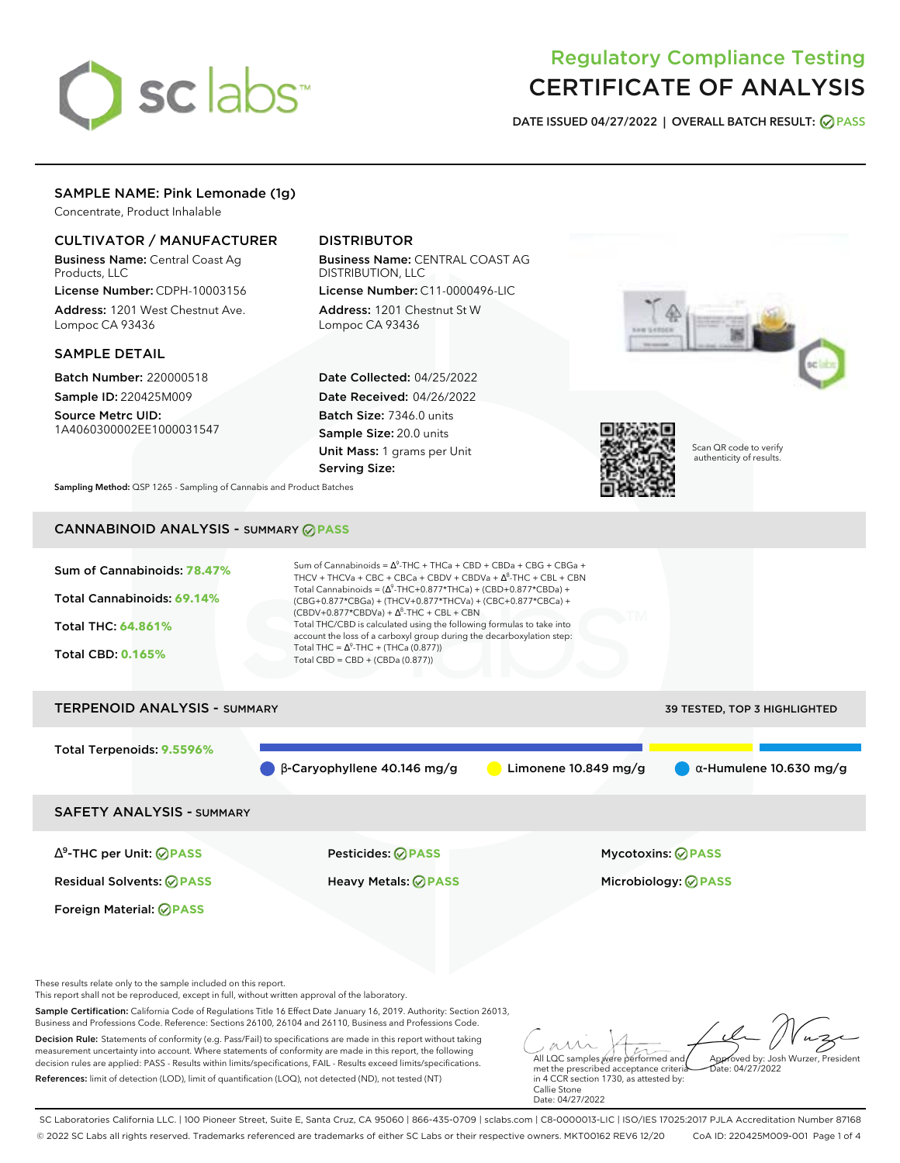

# Regulatory Compliance Testing CERTIFICATE OF ANALYSIS

**DATE ISSUED 04/27/2022 | OVERALL BATCH RESULT: PASS**

# SAMPLE NAME: Pink Lemonade (1g)

Concentrate, Product Inhalable

## CULTIVATOR / MANUFACTURER

Business Name: Central Coast Ag Products, LLC

License Number: CDPH-10003156 Address: 1201 West Chestnut Ave. Lompoc CA 93436

### SAMPLE DETAIL

Batch Number: 220000518 Sample ID: 220425M009 Source Metrc UID:

1A4060300002EE1000031547

# DISTRIBUTOR

Business Name: CENTRAL COAST AG DISTRIBUTION, LLC License Number: C11-0000496-LIC

Address: 1201 Chestnut St W Lompoc CA 93436

Date Collected: 04/25/2022 Date Received: 04/26/2022 Batch Size: 7346.0 units Sample Size: 20.0 units Unit Mass: 1 grams per Unit Serving Size:





Scan QR code to verify authenticity of results.

**Sampling Method:** QSP 1265 - Sampling of Cannabis and Product Batches

# CANNABINOID ANALYSIS - SUMMARY **PASS**

| Sum of Cannabinoids: 78.47%<br>Total Cannabinoids: 69.14%<br><b>Total THC: 64.861%</b><br><b>Total CBD: 0.165%</b> | Sum of Cannabinoids = $\Delta^9$ -THC + THCa + CBD + CBDa + CBG + CBGa +<br>THCV + THCVa + CBC + CBCa + CBDV + CBDVa + $\Delta^8$ -THC + CBL + CBN<br>Total Cannabinoids = $(\Delta^9$ -THC+0.877*THCa) + (CBD+0.877*CBDa) +<br>(CBG+0.877*CBGa) + (THCV+0.877*THCVa) + (CBC+0.877*CBCa) +<br>$(CBDV+0.877*CBDVa) + \Delta^8$ -THC + CBL + CBN<br>Total THC/CBD is calculated using the following formulas to take into<br>account the loss of a carboxyl group during the decarboxylation step:<br>Total THC = $\Delta^9$ -THC + (THCa (0.877))<br>Total CBD = $CBD + (CBDa (0.877))$ |                                     |
|--------------------------------------------------------------------------------------------------------------------|----------------------------------------------------------------------------------------------------------------------------------------------------------------------------------------------------------------------------------------------------------------------------------------------------------------------------------------------------------------------------------------------------------------------------------------------------------------------------------------------------------------------------------------------------------------------------------------|-------------------------------------|
| <b>TERPENOID ANALYSIS - SUMMARY</b>                                                                                |                                                                                                                                                                                                                                                                                                                                                                                                                                                                                                                                                                                        | <b>39 TESTED, TOP 3 HIGHLIGHTED</b> |
| Total Terpenoids: 9.5596%                                                                                          | $\beta$ -Caryophyllene 40.146 mg/g<br>Limonene $10.849$ mg/g                                                                                                                                                                                                                                                                                                                                                                                                                                                                                                                           | $\alpha$ -Humulene 10.630 mg/g      |

SAFETY ANALYSIS - SUMMARY

∆ 9 -THC per Unit: **PASS** Pesticides: **PASS** Mycotoxins: **PASS**

Foreign Material: **PASS**

Residual Solvents: **PASS** Heavy Metals: **PASS** Microbiology: **PASS**

These results relate only to the sample included on this report.

This report shall not be reproduced, except in full, without written approval of the laboratory.

Sample Certification: California Code of Regulations Title 16 Effect Date January 16, 2019. Authority: Section 26013, Business and Professions Code. Reference: Sections 26100, 26104 and 26110, Business and Professions Code.

Decision Rule: Statements of conformity (e.g. Pass/Fail) to specifications are made in this report without taking measurement uncertainty into account. Where statements of conformity are made in this report, the following decision rules are applied: PASS - Results within limits/specifications, FAIL - Results exceed limits/specifications. References: limit of detection (LOD), limit of quantification (LOQ), not detected (ND), not tested (NT)

All LQC samples were performed and met the prescribed acceptance criteria Approved by: Josh Wurzer, President  $hat: 04/27/2022$ 

in 4 CCR section 1730, as attested by: Callie Stone Date: 04/27/2022

SC Laboratories California LLC. | 100 Pioneer Street, Suite E, Santa Cruz, CA 95060 | 866-435-0709 | sclabs.com | C8-0000013-LIC | ISO/IES 17025:2017 PJLA Accreditation Number 87168 © 2022 SC Labs all rights reserved. Trademarks referenced are trademarks of either SC Labs or their respective owners. MKT00162 REV6 12/20 CoA ID: 220425M009-001 Page 1 of 4